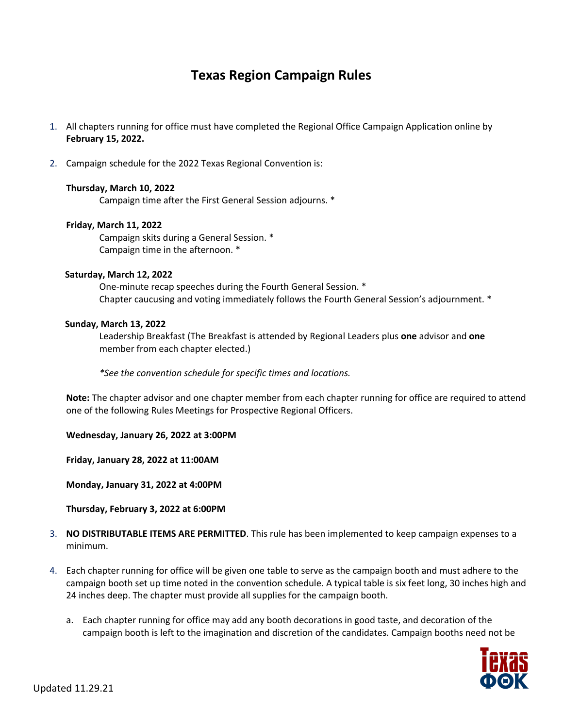# **Texas Region Campaign Rules**

- 1. All chapters running for office must have completed the Regional Office Campaign Application online by **February 15, 2022.**
- 2. Campaign schedule for the 2022 Texas Regional Convention is:

## **Thursday, March 10, 2022**

Campaign time after the First General Session adjourns. \*

## **Friday, March 11, 2022**

Campaign skits during a General Session. \* Campaign time in the afternoon. \*

### **Saturday, March 12, 2022**

One-minute recap speeches during the Fourth General Session. \* Chapter caucusing and voting immediately follows the Fourth General Session's adjournment. \*

## **Sunday, March 13, 2022**

Leadership Breakfast (The Breakfast is attended by Regional Leaders plus **one** advisor and **one** member from each chapter elected.)

*\*See the convention schedule for specific times and locations.* 

**Note:** The chapter advisor and one chapter member from each chapter running for office are required to attend one of the following Rules Meetings for Prospective Regional Officers.

**Wednesday, January 26, 2022 at 3:00PM**

**Friday, January 28, 2022 at 11:00AM**

**Monday, January 31, 2022 at 4:00PM**

**Thursday, February 3, 2022 at 6:00PM**

- 3. **NO DISTRIBUTABLE ITEMS ARE PERMITTED**. This rule has been implemented to keep campaign expenses to a minimum.
- 4. Each chapter running for office will be given one table to serve as the campaign booth and must adhere to the campaign booth set up time noted in the convention schedule. A typical table is six feet long, 30 inches high and 24 inches deep. The chapter must provide all supplies for the campaign booth.
	- a. Each chapter running for office may add any booth decorations in good taste, and decoration of the campaign booth is left to the imagination and discretion of the candidates. Campaign booths need not be

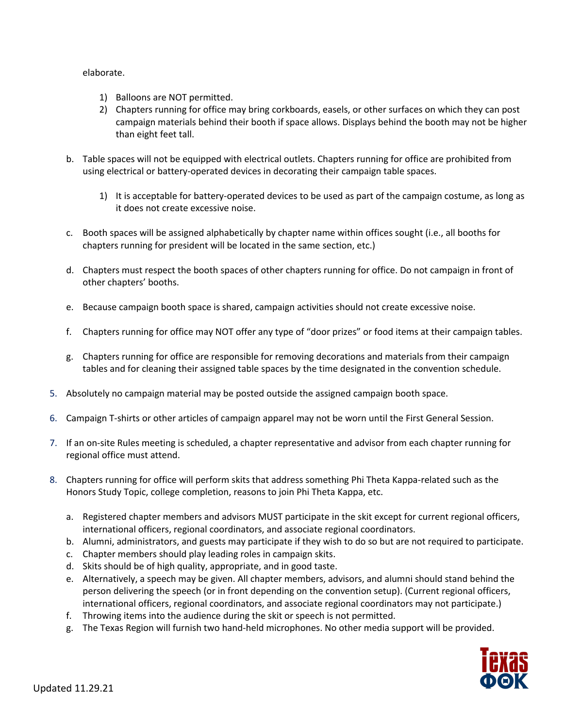elaborate.

- 1) Balloons are NOT permitted.
- 2) Chapters running for office may bring corkboards, easels, or other surfaces on which they can post campaign materials behind their booth if space allows. Displays behind the booth may not be higher than eight feet tall.
- b. Table spaces will not be equipped with electrical outlets. Chapters running for office are prohibited from using electrical or battery-operated devices in decorating their campaign table spaces.
	- 1) It is acceptable for battery-operated devices to be used as part of the campaign costume, as long as it does not create excessive noise.
- c. Booth spaces will be assigned alphabetically by chapter name within offices sought (i.e., all booths for chapters running for president will be located in the same section, etc.)
- d. Chapters must respect the booth spaces of other chapters running for office. Do not campaign in front of other chapters' booths.
- e. Because campaign booth space is shared, campaign activities should not create excessive noise.
- f. Chapters running for office may NOT offer any type of "door prizes" or food items at their campaign tables.
- g. Chapters running for office are responsible for removing decorations and materials from their campaign tables and for cleaning their assigned table spaces by the time designated in the convention schedule.
- 5. Absolutely no campaign material may be posted outside the assigned campaign booth space.
- 6. Campaign T-shirts or other articles of campaign apparel may not be worn until the First General Session.
- 7. If an on-site Rules meeting is scheduled, a chapter representative and advisor from each chapter running for regional office must attend.
- 8. Chapters running for office will perform skits that address something Phi Theta Kappa-related such as the Honors Study Topic, college completion, reasons to join Phi Theta Kappa, etc.
	- a. Registered chapter members and advisors MUST participate in the skit except for current regional officers, international officers, regional coordinators, and associate regional coordinators.
	- b. Alumni, administrators, and guests may participate if they wish to do so but are not required to participate.
	- c. Chapter members should play leading roles in campaign skits.
	- d. Skits should be of high quality, appropriate, and in good taste.
	- e. Alternatively, a speech may be given. All chapter members, advisors, and alumni should stand behind the person delivering the speech (or in front depending on the convention setup). (Current regional officers, international officers, regional coordinators, and associate regional coordinators may not participate.)
	- f. Throwing items into the audience during the skit or speech is not permitted.
	- g. The Texas Region will furnish two hand-held microphones. No other media support will be provided.